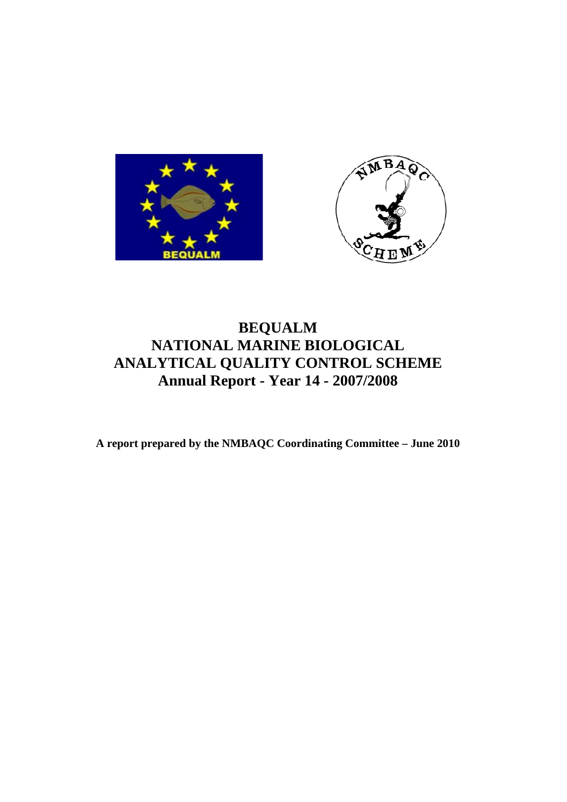



# **BEQUALM NATIONAL MARINE BIOLOGICAL ANALYTICAL QUALITY CONTROL SCHEME Annual Report - Year 14 - 2007/2008**

**A report prepared by the NMBAQC Coordinating Committee – June 2010**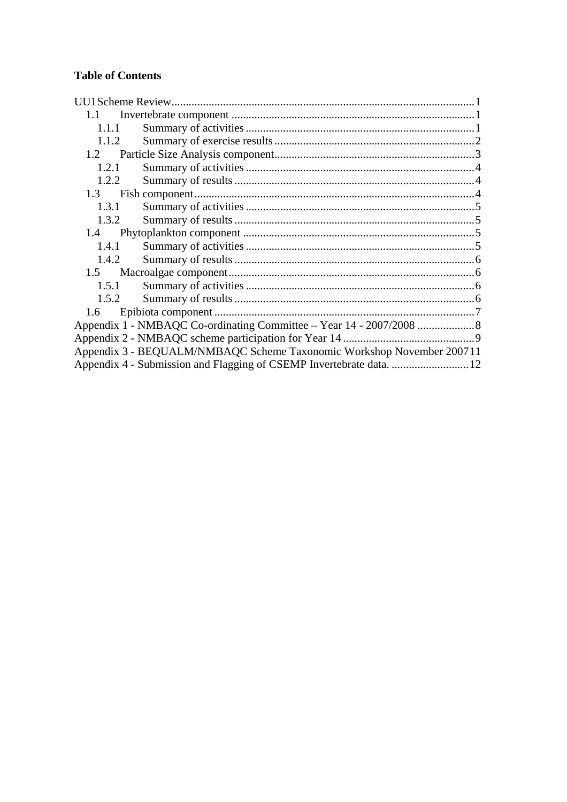# **Table of Contents**

| $1.1 -$ |                                                                       |  |
|---------|-----------------------------------------------------------------------|--|
| 1.1.1   |                                                                       |  |
| 1.1.2   |                                                                       |  |
| 1.2     |                                                                       |  |
| 1.2.1   |                                                                       |  |
| 1.2.2   |                                                                       |  |
| 1.3     |                                                                       |  |
| 1.3.1   |                                                                       |  |
| 1.3.2   |                                                                       |  |
| 1.4     |                                                                       |  |
| 1.4.1   |                                                                       |  |
| 1.4.2   |                                                                       |  |
| $1.5 -$ |                                                                       |  |
| 1.5.1   |                                                                       |  |
| 1.5.2   |                                                                       |  |
| 1.6     |                                                                       |  |
|         |                                                                       |  |
|         |                                                                       |  |
|         | Appendix 3 - BEQUALM/NMBAQC Scheme Taxonomic Workshop November 200711 |  |
|         |                                                                       |  |
|         |                                                                       |  |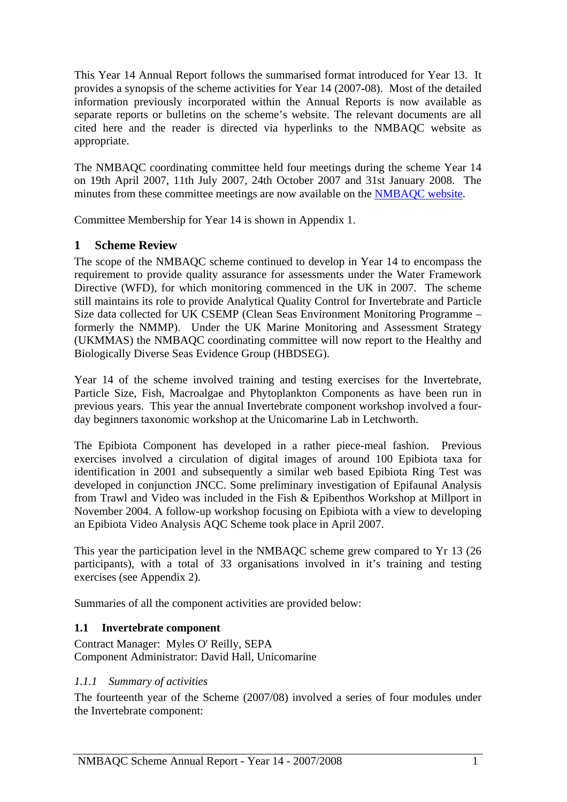<span id="page-2-0"></span>This Year 14 Annual Report follows the summarised format introduced for Year 13. It provides a synopsis of the scheme activities for Year 14 (2007-08). Most of the detailed information previously incorporated within the Annual Reports is now available as separate reports or bulletins on the scheme's website. The relevant documents are all cited here and the reader is directed via hyperlinks to the NMBAQC website as appropriate.

The NMBAQC coordinating committee held four meetings during the scheme Year 14 on 19th April 2007, 11th July 2007, 24th October 2007 and 31st January 2008. The minutes from these committee meetings are now available on the [NMBAQC website.](http://www.nmbaqcs.org/reports.aspx)

Committee Membership for Year 14 is shown in Appendix 1.

### **1 Scheme Review**

The scope of the NMBAQC scheme continued to develop in Year 14 to encompass the requirement to provide quality assurance for assessments under the Water Framework Directive (WFD), for which monitoring commenced in the UK in 2007. The scheme still maintains its role to provide Analytical Quality Control for Invertebrate and Particle Size data collected for UK CSEMP (Clean Seas Environment Monitoring Programme – formerly the NMMP). Under the UK Marine Monitoring and Assessment Strategy (UKMMAS) the NMBAQC coordinating committee will now report to the Healthy and Biologically Diverse Seas Evidence Group (HBDSEG).

Year 14 of the scheme involved training and testing exercises for the Invertebrate, Particle Size, Fish, Macroalgae and Phytoplankton Components as have been run in previous years. This year the annual Invertebrate component workshop involved a fourday beginners taxonomic workshop at the Unicomarine Lab in Letchworth.

The Epibiota Component has developed in a rather piece-meal fashion. Previous exercises involved a circulation of digital images of around 100 Epibiota taxa for identification in 2001 and subsequently a similar web based Epibiota Ring Test was developed in conjunction JNCC. Some preliminary investigation of Epifaunal Analysis from Trawl and Video was included in the Fish & Epibenthos Workshop at Millport in November 2004. A follow-up workshop focusing on Epibiota with a view to developing an Epibiota Video Analysis AQC Scheme took place in April 2007.

This year the participation level in the NMBAQC scheme grew compared to Yr 13 (26 participants), with a total of 33 organisations involved in it's training and testing exercises (see Appendix 2).

Summaries of all the component activities are provided below:

#### **1.1 Invertebrate component**

Contract Manager: Myles O' Reilly, SEPA Component Administrator: David Hall, Unicomarine

#### *1.1.1 Summary of activities*

The fourteenth year of the Scheme (2007/08) involved a series of four modules under the Invertebrate component: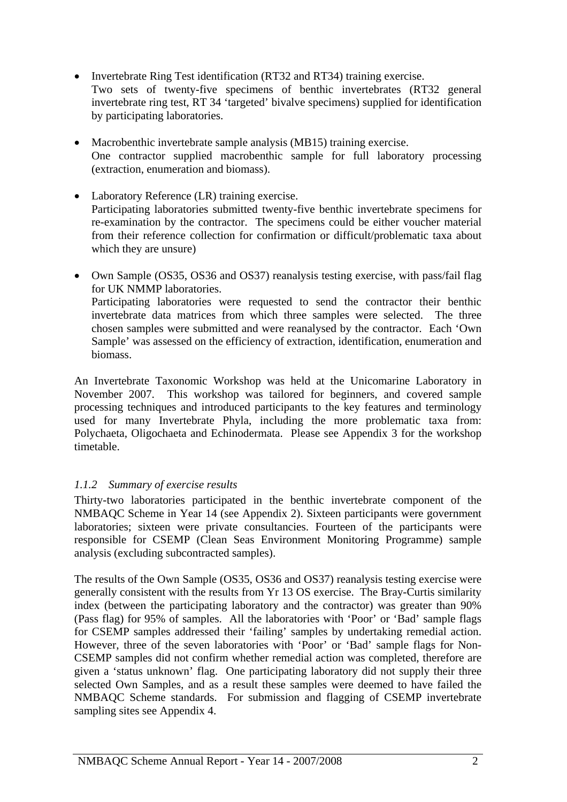- <span id="page-3-0"></span>• Invertebrate Ring Test identification (RT32 and RT34) training exercise. Two sets of twenty-five specimens of benthic invertebrates (RT32 general invertebrate ring test, RT 34 'targeted' bivalve specimens) supplied for identification by participating laboratories.
- Macrobenthic invertebrate sample analysis (MB15) training exercise. One contractor supplied macrobenthic sample for full laboratory processing (extraction, enumeration and biomass).
- Laboratory Reference (LR) training exercise. Participating laboratories submitted twenty-five benthic invertebrate specimens for re-examination by the contractor. The specimens could be either voucher material from their reference collection for confirmation or difficult/problematic taxa about which they are unsure)
- Own Sample (OS35, OS36 and OS37) reanalysis testing exercise, with pass/fail flag for UK NMMP laboratories. Participating laboratories were requested to send the contractor their benthic invertebrate data matrices from which three samples were selected. The three chosen samples were submitted and were reanalysed by the contractor. Each 'Own Sample' was assessed on the efficiency of extraction, identification, enumeration and biomass.

An Invertebrate Taxonomic Workshop was held at the Unicomarine Laboratory in November 2007. This workshop was tailored for beginners, and covered sample processing techniques and introduced participants to the key features and terminology used for many Invertebrate Phyla, including the more problematic taxa from: Polychaeta, Oligochaeta and Echinodermata. Please see Appendix 3 for the workshop timetable.

# *1.1.2 Summary of exercise results*

Thirty-two laboratories participated in the benthic invertebrate component of the NMBAQC Scheme in Year 14 (see Appendix 2). Sixteen participants were government laboratories; sixteen were private consultancies. Fourteen of the participants were responsible for CSEMP (Clean Seas Environment Monitoring Programme) sample analysis (excluding subcontracted samples).

The results of the Own Sample (OS35, OS36 and OS37) reanalysis testing exercise were generally consistent with the results from Yr 13 OS exercise. The Bray-Curtis similarity index (between the participating laboratory and the contractor) was greater than 90% (Pass flag) for 95% of samples. All the laboratories with 'Poor' or 'Bad' sample flags for CSEMP samples addressed their 'failing' samples by undertaking remedial action. However, three of the seven laboratories with 'Poor' or 'Bad' sample flags for Non-CSEMP samples did not confirm whether remedial action was completed, therefore are given a 'status unknown' flag. One participating laboratory did not supply their three selected Own Samples, and as a result these samples were deemed to have failed the NMBAQC Scheme standards. For submission and flagging of CSEMP invertebrate sampling sites see Appendix 4.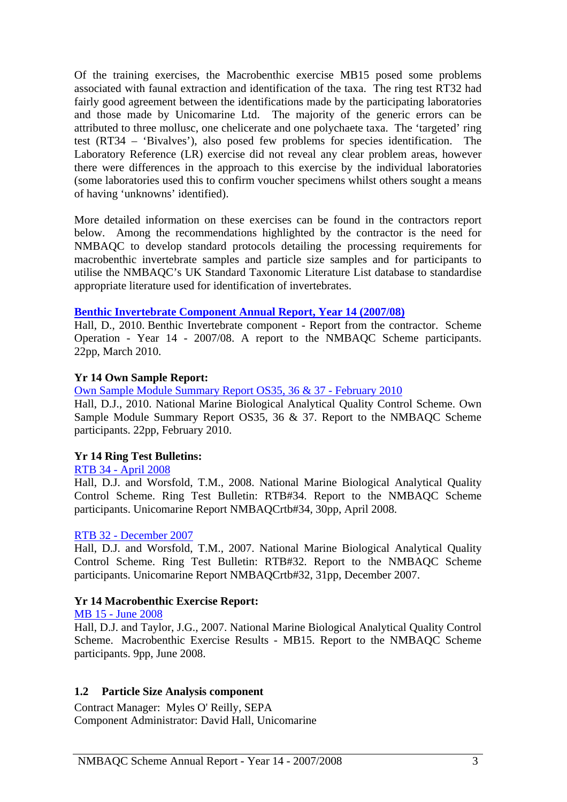<span id="page-4-0"></span>Of the training exercises, the Macrobenthic exercise MB15 posed some problems associated with faunal extraction and identification of the taxa. The ring test RT32 had fairly good agreement between the identifications made by the participating laboratories and those made by Unicomarine Ltd. The majority of the generic errors can be attributed to three mollusc, one chelicerate and one polychaete taxa. The 'targeted' ring test (RT34 – 'Bivalves'), also posed few problems for species identification. The Laboratory Reference (LR) exercise did not reveal any clear problem areas, however there were differences in the approach to this exercise by the individual laboratories (some laboratories used this to confirm voucher specimens whilst others sought a means of having 'unknowns' identified).

More detailed information on these exercises can be found in the contractors report below. Among the recommendations highlighted by the contractor is the need for NMBAQC to develop standard protocols detailing the processing requirements for macrobenthic invertebrate samples and particle size samples and for participants to utilise the NMBAQC's UK Standard Taxonomic Literature List database to standardise appropriate literature used for identification of invertebrates.

#### **[Benthic Invertebrate Component Annual Report, Year 14 \(2007/08\)](http://www.nmbaqcs.org/scheme-components/invertebrates/reports/yr-14-invert-annual-rpt.aspx)**

Hall, D., 2010. Benthic Invertebrate component - Report from the contractor. Scheme Operation - Year 14 - 2007/08. A report to the NMBAQC Scheme participants. 22pp, March 2010.

#### **Yr 14 Own Sample Report:**

[Own Sample Module Summary Report OS35, 36 & 37 - February 2010](http://www.nmbaqcs.org/scheme-components/invertebrates/reports/os35,-36--37-summary-rpt.aspx)

Hall, D.J., 2010. National Marine Biological Analytical Quality Control Scheme. Own Sample Module Summary Report OS35, 36 & 37. Report to the NMBAQC Scheme participants. 22pp, February 2010.

#### **Yr 14 Ring Test Bulletins:**

#### [RTB 34 - April 2008](http://www.nmbaqcs.org/scheme-components/invertebrates/reports/rtb-34.aspx)

Hall, D.J. and Worsfold, T.M., 2008. National Marine Biological Analytical Quality Control Scheme. Ring Test Bulletin: RTB#34. Report to the NMBAQC Scheme participants. Unicomarine Report NMBAQCrtb#34, 30pp, April 2008.

#### [RTB 32 - December 2007](http://www.nmbaqcs.org/scheme-components/invertebrates/reports/rtb-32.aspx)

Hall, D.J. and Worsfold, T.M., 2007. National Marine Biological Analytical Quality Control Scheme. Ring Test Bulletin: RTB#32. Report to the NMBAQC Scheme participants. Unicomarine Report NMBAQCrtb#32, 31pp, December 2007.

#### **Yr 14 Macrobenthic Exercise Report:**

#### [MB 15 - June 2008](http://www.nmbaqcs.org/scheme-components/invertebrates/reports/mb-15.aspx)

Hall, D.J. and Taylor, J.G., 2007. National Marine Biological Analytical Quality Control Scheme. Macrobenthic Exercise Results - MB15. Report to the NMBAQC Scheme participants. 9pp, June 2008.

#### **1.2 Particle Size Analysis component**

Contract Manager: Myles O' Reilly, SEPA Component Administrator: David Hall, Unicomarine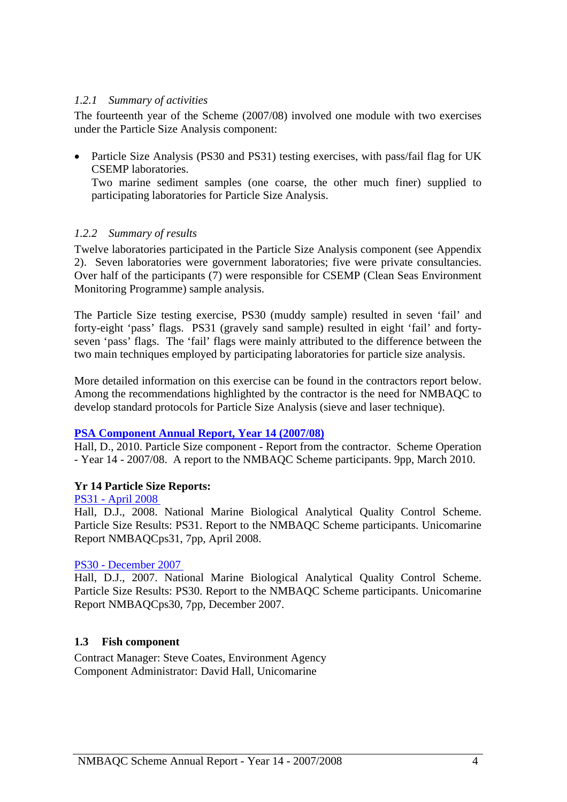#### <span id="page-5-0"></span>*1.2.1 Summary of activities*

The fourteenth year of the Scheme (2007/08) involved one module with two exercises under the Particle Size Analysis component:

• Particle Size Analysis (PS30 and PS31) testing exercises, with pass/fail flag for UK CSEMP laboratories.

Two marine sediment samples (one coarse, the other much finer) supplied to participating laboratories for Particle Size Analysis.

#### *1.2.2 Summary of results*

Twelve laboratories participated in the Particle Size Analysis component (see Appendix 2). Seven laboratories were government laboratories; five were private consultancies. Over half of the participants (7) were responsible for CSEMP (Clean Seas Environment Monitoring Programme) sample analysis.

The Particle Size testing exercise, PS30 (muddy sample) resulted in seven 'fail' and forty-eight 'pass' flags. PS31 (gravely sand sample) resulted in eight 'fail' and fortyseven 'pass' flags. The 'fail' flags were mainly attributed to the difference between the two main techniques employed by participating laboratories for particle size analysis.

More detailed information on this exercise can be found in the contractors report below. Among the recommendations highlighted by the contractor is the need for NMBAQC to develop standard protocols for Particle Size Analysis (sieve and laser technique).

#### **[PSA Component Annual Report, Year 14 \(2007/08\)](http://www.nmbaqcs.org/scheme-components/particle-size-analysis/reports/yr-14-psa-annual-rpt.aspx)**

Hall, D., 2010. Particle Size component - Report from the contractor. Scheme Operation - Year 14 - 2007/08. A report to the NMBAQC Scheme participants. 9pp, March 2010.

#### **Yr 14 Particle Size Reports:**

[PS31 - April 2008](http://www.nmbaqcs.org/scheme-components/particle-size-analysis/reports/ps31.aspx)

Hall, D.J., 2008. National Marine Biological Analytical Quality Control Scheme. Particle Size Results: PS31. Report to the NMBAQC Scheme participants. Unicomarine Report NMBAQCps31, 7pp, April 2008.

#### [PS30 - December 2007](http://www.nmbaqcs.org/scheme-components/particle-size-analysis/reports/ps30.aspx)

Hall, D.J., 2007. National Marine Biological Analytical Quality Control Scheme. Particle Size Results: PS30. Report to the NMBAQC Scheme participants. Unicomarine Report NMBAQCps30, 7pp, December 2007.

#### **1.3 Fish component**

Contract Manager: Steve Coates, Environment Agency Component Administrator: David Hall, Unicomarine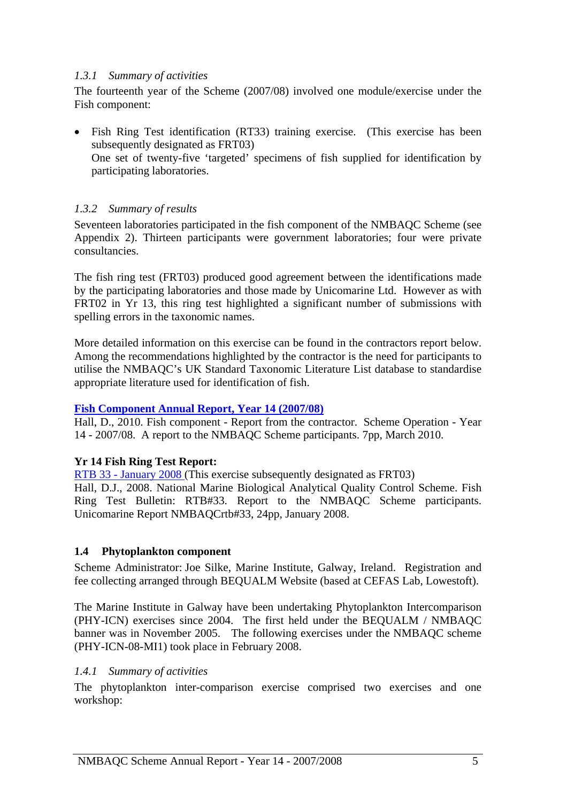#### <span id="page-6-0"></span>*1.3.1 Summary of activities*

The fourteenth year of the Scheme (2007/08) involved one module/exercise under the Fish component:

• Fish Ring Test identification (RT33) training exercise. (This exercise has been subsequently designated as FRT03) One set of twenty-five 'targeted' specimens of fish supplied for identification by participating laboratories.

# *1.3.2 Summary of results*

Seventeen laboratories participated in the fish component of the NMBAQC Scheme (see Appendix 2). Thirteen participants were government laboratories; four were private consultancies.

The fish ring test (FRT03) produced good agreement between the identifications made by the participating laboratories and those made by Unicomarine Ltd. However as with FRT02 in Yr 13, this ring test highlighted a significant number of submissions with spelling errors in the taxonomic names.

More detailed information on this exercise can be found in the contractors report below. Among the recommendations highlighted by the contractor is the need for participants to utilise the NMBAQC's UK Standard Taxonomic Literature List database to standardise appropriate literature used for identification of fish.

#### **[Fish Component Annual Report, Year 14 \(2007/08\)](http://www.nmbaqcs.org/scheme-components/fish/reports/yr-14-fish-annual-rpt.aspx)**

Hall, D., 2010. Fish component - Report from the contractor. Scheme Operation - Year 14 - 2007/08. A report to the NMBAQC Scheme participants. 7pp, March 2010.

#### **Yr 14 Fish Ring Test Report:**

[RTB 33 - January 2008](http://www.nmbaqcs.org/scheme-components/fish/reports/rtb-33.aspx) (This exercise subsequently designated as FRT03) Hall, D.J., 2008. National Marine Biological Analytical Quality Control Scheme. Fish Ring Test Bulletin: RTB#33. Report to the NMBAQC Scheme participants. Unicomarine Report NMBAQCrtb#33, 24pp, January 2008.

#### **1.4 Phytoplankton component**

Scheme Administrator: Joe Silke, Marine Institute, Galway, Ireland. Registration and fee collecting arranged through BEQUALM Website (based at CEFAS Lab, Lowestoft).

The Marine Institute in Galway have been undertaking Phytoplankton Intercomparison (PHY-ICN) exercises since 2004. The first held under the BEQUALM / NMBAQC banner was in November 2005. The following exercises under the NMBAQC scheme (PHY-ICN-08-MI1) took place in February 2008.

#### *1.4.1 Summary of activities*

The phytoplankton inter-comparison exercise comprised two exercises and one workshop: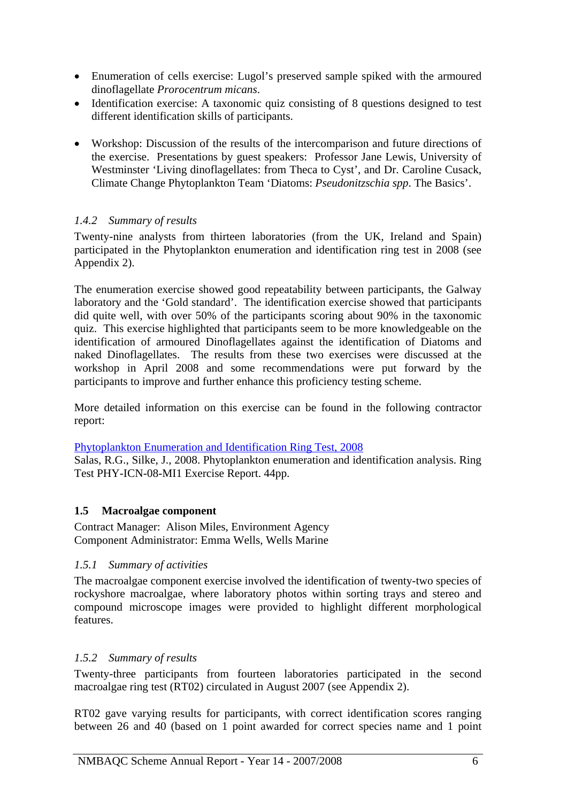- <span id="page-7-0"></span>• Enumeration of cells exercise: Lugol's preserved sample spiked with the armoured dinoflagellate *Prorocentrum micans*.
- Identification exercise: A taxonomic quiz consisting of 8 questions designed to test different identification skills of participants.
- Workshop: Discussion of the results of the intercomparison and future directions of the exercise. Presentations by guest speakers: Professor Jane Lewis, University of Westminster 'Living dinoflagellates: from Theca to Cyst', and Dr. Caroline Cusack, Climate Change Phytoplankton Team 'Diatoms: *Pseudonitzschia spp*. The Basics'.

### *1.4.2 Summary of results*

Twenty-nine analysts from thirteen laboratories (from the UK, Ireland and Spain) participated in the Phytoplankton enumeration and identification ring test in 2008 (see Appendix 2).

The enumeration exercise showed good repeatability between participants, the Galway laboratory and the 'Gold standard'. The identification exercise showed that participants did quite well, with over 50% of the participants scoring about 90% in the taxonomic quiz. This exercise highlighted that participants seem to be more knowledgeable on the identification of armoured Dinoflagellates against the identification of Diatoms and naked Dinoflagellates. The results from these two exercises were discussed at the workshop in April 2008 and some recommendations were put forward by the participants to improve and further enhance this proficiency testing scheme.

More detailed information on this exercise can be found in the following contractor report:

[Phytoplankton Enumeration and Identification Ring Test, 2008](http://www.nmbaqcs.org/downloads/phytoplankton/PHY-ICN-08-MI1%20report.pdf)

Salas, R.G., Silke, J., 2008. Phytoplankton enumeration and identification analysis. Ring Test PHY-ICN-08-MI1 Exercise Report. 44pp.

#### **1.5 Macroalgae component**

Contract Manager: Alison Miles, Environment Agency Component Administrator: Emma Wells, Wells Marine

#### *1.5.1 Summary of activities*

The macroalgae component exercise involved the identification of twenty-two species of rockyshore macroalgae, where laboratory photos within sorting trays and stereo and compound microscope images were provided to highlight different morphological features.

#### *1.5.2 Summary of results*

Twenty-three participants from fourteen laboratories participated in the second macroalgae ring test (RT02) circulated in August 2007 (see Appendix 2).

RT02 gave varying results for participants, with correct identification scores ranging between 26 and 40 (based on 1 point awarded for correct species name and 1 point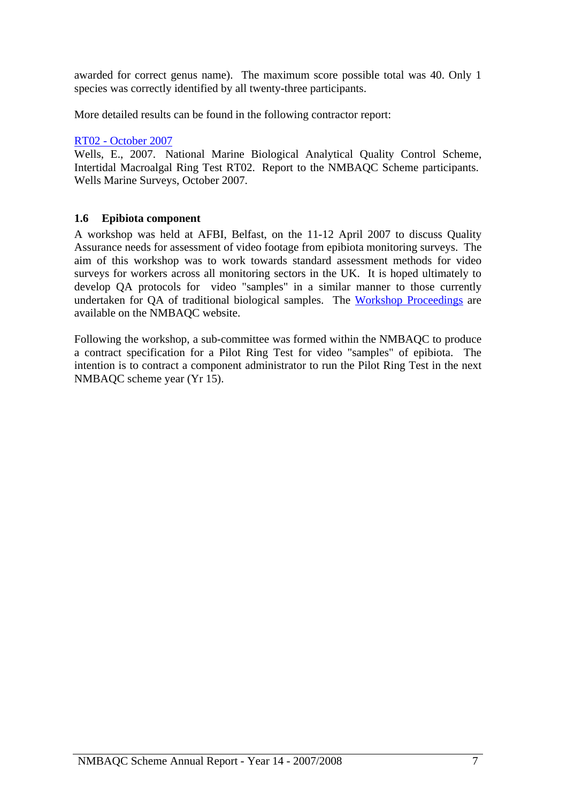<span id="page-8-0"></span>awarded for correct genus name). The maximum score possible total was 40. Only 1 species was correctly identified by all twenty-three participants.

More detailed results can be found in the following contractor report:

### [RT02 - October 2007](http://www.nmbaqcs.org/downloads/macroalgae/RT02%20algal%20ring%20test%20results.pdf)

Wells, E., 2007. National Marine Biological Analytical Quality Control Scheme, Intertidal Macroalgal Ring Test RT02. Report to the NMBAQC Scheme participants. Wells Marine Surveys, October 2007.

# **1.6 Epibiota component**

A workshop was held at AFBI, Belfast, on the 11-12 April 2007 to discuss Quality Assurance needs for assessment of video footage from epibiota monitoring surveys. The aim of this workshop was to work towards standard assessment methods for video surveys for workers across all monitoring sectors in the UK. It is hoped ultimately to develop QA protocols for video "samples" in a similar manner to those currently undertaken for QA of traditional biological samples. The [Workshop Proceedings](http://www.nmbaqcs.org/scheme-components/epibiota/workshops/proceedings.aspx) are available on the NMBAQC website.

Following the workshop, a sub-committee was formed within the NMBAQC to produce a contract specification for a Pilot Ring Test for video "samples" of epibiota. The intention is to contract a component administrator to run the Pilot Ring Test in the next NMBAQC scheme year (Yr 15).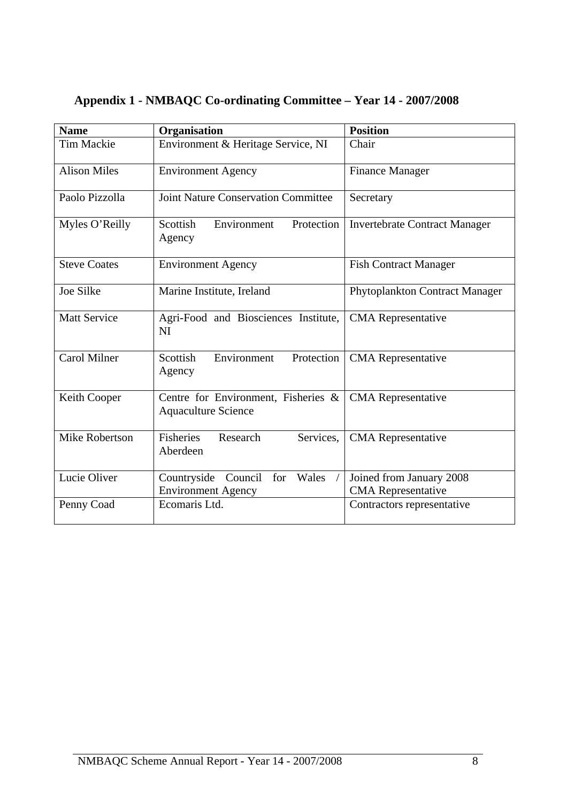| <b>Name</b>           | Organisation                                                      | <b>Position</b>                                       |  |
|-----------------------|-------------------------------------------------------------------|-------------------------------------------------------|--|
| Tim Mackie            | Environment & Heritage Service, NI                                | Chair                                                 |  |
| <b>Alison Miles</b>   | <b>Environment Agency</b>                                         | <b>Finance Manager</b>                                |  |
| Paolo Pizzolla        | <b>Joint Nature Conservation Committee</b>                        | Secretary                                             |  |
| Myles O'Reilly        | Scottish<br>Environment<br>Protection<br>Agency                   | <b>Invertebrate Contract Manager</b>                  |  |
| <b>Steve Coates</b>   | <b>Environment Agency</b>                                         | Fish Contract Manager                                 |  |
| Joe Silke             | Marine Institute, Ireland                                         | Phytoplankton Contract Manager                        |  |
| <b>Matt Service</b>   | Agri-Food and Biosciences Institute,<br>NI                        | <b>CMA</b> Representative                             |  |
| <b>Carol Milner</b>   | Scottish<br>Environment<br>Protection<br>Agency                   | <b>CMA</b> Representative                             |  |
| Keith Cooper          | Centre for Environment, Fisheries &<br><b>Aquaculture Science</b> | <b>CMA</b> Representative                             |  |
| <b>Mike Robertson</b> | <b>Fisheries</b><br>Research<br>Services,<br>Aberdeen             | <b>CMA</b> Representative                             |  |
| Lucie Oliver          | Countryside Council<br>for<br>Wales<br><b>Environment Agency</b>  | Joined from January 2008<br><b>CMA</b> Representative |  |
| Penny Coad            | Ecomaris Ltd.                                                     | Contractors representative                            |  |

# <span id="page-9-0"></span>**Appendix 1 - NMBAQC Co-ordinating Committee – Year 14 - 2007/2008**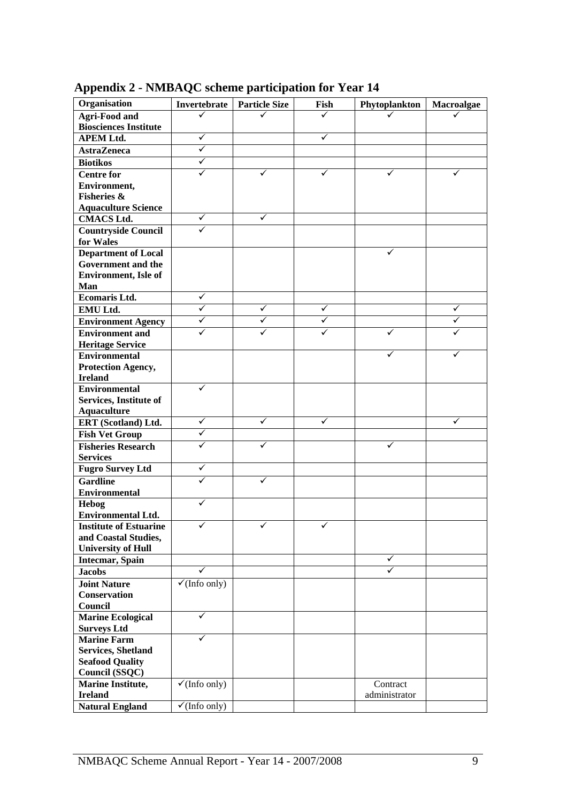| Organisation                                          | Invertebrate             | <b>Particle Size</b> | Fish | Phytoplankton | Macroalgae |
|-------------------------------------------------------|--------------------------|----------------------|------|---------------|------------|
| <b>Agri-Food and</b>                                  |                          |                      | ✓    |               |            |
| <b>Biosciences Institute</b>                          |                          |                      |      |               |            |
| <b>APEM Ltd.</b>                                      | ✓                        |                      | ✓    |               |            |
| <b>AstraZeneca</b>                                    | ✓                        |                      |      |               |            |
|                                                       | ✓                        |                      |      |               |            |
| <b>Biotikos</b>                                       | ✓                        |                      |      |               |            |
| <b>Centre for</b>                                     |                          | ✓                    | ✓    | ✓             | ✓          |
| Environment,                                          |                          |                      |      |               |            |
| <b>Fisheries &amp;</b>                                |                          |                      |      |               |            |
| <b>Aquaculture Science</b>                            | ✓                        | ✓                    |      |               |            |
| <b>CMACS Ltd.</b>                                     |                          |                      |      |               |            |
| <b>Countryside Council</b><br>for Wales               |                          |                      |      |               |            |
| <b>Department of Local</b>                            |                          |                      |      |               |            |
| Government and the                                    |                          |                      |      |               |            |
| <b>Environment</b> , Isle of                          |                          |                      |      |               |            |
| Man                                                   |                          |                      |      |               |            |
| <b>Ecomaris Ltd.</b>                                  | ✓                        |                      |      |               |            |
| EMU Ltd.                                              | ✓                        | ✓                    | ✓    |               | ✓          |
| <b>Environment Agency</b>                             | ✓                        | ✓                    | ✓    |               | ✓          |
| <b>Environment</b> and                                |                          | ✓                    | ✓    |               |            |
| <b>Heritage Service</b>                               |                          |                      |      |               |            |
| <b>Environmental</b>                                  |                          |                      |      | ✓             |            |
| Protection Agency,                                    |                          |                      |      |               |            |
| <b>Ireland</b>                                        |                          |                      |      |               |            |
| <b>Environmental</b>                                  |                          |                      |      |               |            |
| Services, Institute of                                |                          |                      |      |               |            |
| <b>Aquaculture</b>                                    |                          |                      |      |               |            |
| ERT (Scotland) Ltd.                                   | ✓                        | ✓                    | ✓    |               | ✓          |
| <b>Fish Vet Group</b>                                 | ✓                        |                      |      |               |            |
| <b>Fisheries Research</b>                             | ✓                        |                      |      |               |            |
| <b>Services</b>                                       |                          |                      |      |               |            |
| <b>Fugro Survey Ltd</b>                               | ✓                        |                      |      |               |            |
| <b>Gardline</b>                                       | ✓                        | ✓                    |      |               |            |
| <b>Environmental</b>                                  |                          |                      |      |               |            |
| Hebog                                                 | ✓                        |                      |      |               |            |
| <b>Environmental Ltd.</b>                             |                          |                      |      |               |            |
| <b>Institute of Estuarine</b><br>and Coastal Studies, | ✓                        | ✓                    | ✓    |               |            |
| <b>University of Hull</b>                             |                          |                      |      |               |            |
| Intecmar, Spain                                       |                          |                      |      | ✓             |            |
| <b>Jacobs</b>                                         | ✓                        |                      |      | ✓             |            |
| <b>Joint Nature</b>                                   | $\checkmark$ (Info only) |                      |      |               |            |
| <b>Conservation</b>                                   |                          |                      |      |               |            |
| Council                                               |                          |                      |      |               |            |
| <b>Marine Ecological</b>                              | ✓                        |                      |      |               |            |
| <b>Surveys Ltd</b>                                    |                          |                      |      |               |            |
| <b>Marine Farm</b>                                    | ✓                        |                      |      |               |            |
| <b>Services, Shetland</b>                             |                          |                      |      |               |            |
| <b>Seafood Quality</b>                                |                          |                      |      |               |            |
| Council (SSQC)                                        |                          |                      |      |               |            |
| <b>Marine Institute,</b>                              | $\checkmark$ (Info only) |                      |      | Contract      |            |
| <b>Ireland</b>                                        |                          |                      |      | administrator |            |
| <b>Natural England</b>                                | $\checkmark$ (Info only) |                      |      |               |            |

<span id="page-10-0"></span>**Appendix 2 - NMBAQC scheme participation for Year 14**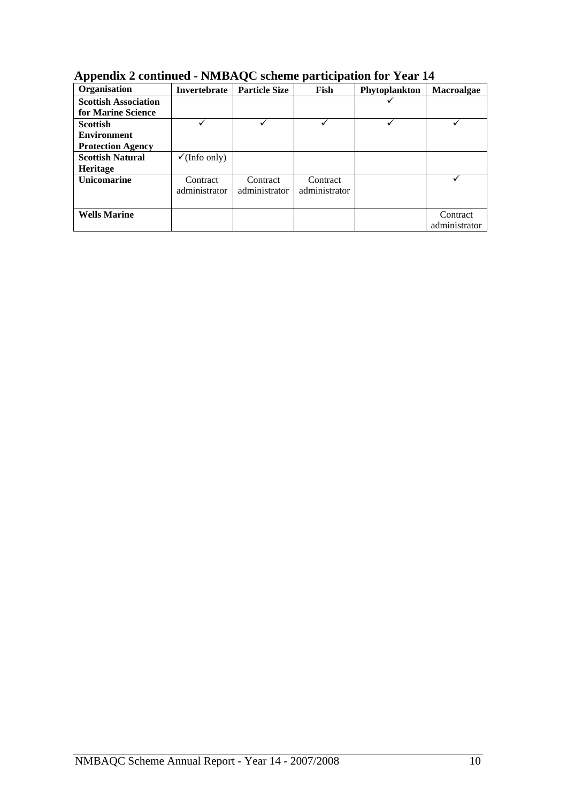| .<br>Organisation           | Invertebrate             | <b>Particle Size</b> | Fish          | Phytoplankton | <b>Macroalgae</b> |
|-----------------------------|--------------------------|----------------------|---------------|---------------|-------------------|
| <b>Scottish Association</b> |                          |                      |               |               |                   |
| for Marine Science          |                          |                      |               |               |                   |
| <b>Scottish</b>             |                          |                      |               |               |                   |
| <b>Environment</b>          |                          |                      |               |               |                   |
| <b>Protection Agency</b>    |                          |                      |               |               |                   |
| <b>Scottish Natural</b>     | $\checkmark$ (Info only) |                      |               |               |                   |
| Heritage                    |                          |                      |               |               |                   |
| Unicomarine                 | Contract                 | Contract             | Contract      |               |                   |
|                             | administrator            | administrator        | administrator |               |                   |
|                             |                          |                      |               |               |                   |
| <b>Wells Marine</b>         |                          |                      |               |               | Contract          |
|                             |                          |                      |               |               | administrator     |

**Appendix 2 continued - NMBAQC scheme participation for Year 14**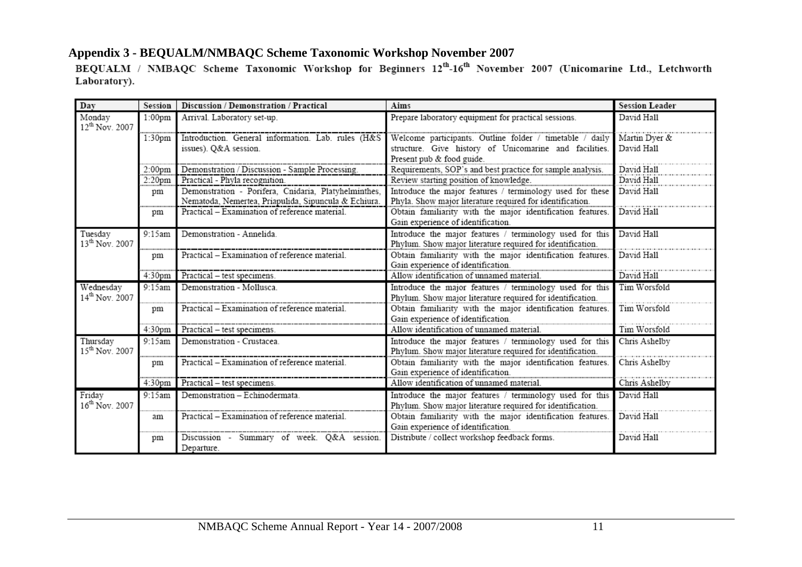<span id="page-12-0"></span>

| Day                                  | Session            | Discussion / Demonstration / Practical                                                                       | Aims                                                                                                                   | <b>Session Leader</b> |
|--------------------------------------|--------------------|--------------------------------------------------------------------------------------------------------------|------------------------------------------------------------------------------------------------------------------------|-----------------------|
| Monday<br>12 <sup>th</sup> Nov. 2007 | 1:00 <sub>pm</sub> | Arrival. Laboratory set-up.                                                                                  | Prepare laboratory equipment for practical sessions.                                                                   | David Hall            |
|                                      | 1:30 <sub>pm</sub> | Introduction. General information. Lab. rules (H&S                                                           | Welcome participants. Outline folder / timetable / daily                                                               | Martin Dyer &         |
|                                      |                    | issues). Q&A session.                                                                                        | structure. Give history of Unicomarine and facilities.                                                                 | David Hall            |
|                                      |                    |                                                                                                              | Present pub & food guide.                                                                                              |                       |
|                                      | 2:00 <sub>pm</sub> | Demonstration / Discussion - Sample Processing.                                                              | Requirements, SOP's and best practice for sample analysis.                                                             | David Hall            |
|                                      | 2:20 <sub>pm</sub> | Practical - Phyla recognition.                                                                               | Review starting position of knowledge.                                                                                 | David Hall            |
|                                      | pm                 | Demonstration - Porifera, Cnidaria, Platyhelminthes,<br>Nematoda, Nemertea, Priapulida, Sipuncula & Echiura. | Introduce the major features / terminology used for these<br>Phyla. Show major literature required for identification. | David Hall            |
|                                      | pm                 | Practical – Examination of reference material.                                                               | Obtain familiarity with the major identification features.                                                             | David Hall            |
|                                      |                    |                                                                                                              | Gain experience of identification.                                                                                     |                       |
| Tuesday<br>$13^{th}$ Nov. 2007       | 9:15am             | Demonstration - Annelida.                                                                                    | Introduce the major features / terminology used for this<br>Phylum. Show major literature required for identification. | David Hall            |
|                                      | pm                 | Practical – Examination of reference material.                                                               | Obtain familiarity with the major identification features.<br>Gain experience of identification.                       | David Hall            |
|                                      | 4:30pm             | Practical - test specimens.                                                                                  | Allow identification of unnamed material.                                                                              | David Hall            |
| Wednesday                            | 9:15am             | Demonstration - Mollusca.                                                                                    | Introduce the major features / terminology used for this                                                               | Tim Worsfold          |
| 14 <sup>th</sup> Nov. 2007           |                    |                                                                                                              | Phylum. Show major literature required for identification.                                                             |                       |
|                                      | pm                 | Practical – Examination of reference material.                                                               | Obtain familiarity with the major identification features.                                                             | Tim Worsfold          |
|                                      |                    |                                                                                                              | Gain experience of identification.                                                                                     |                       |
|                                      | 4:30 <sub>pm</sub> | Practical - test specimens.                                                                                  | Allow identification of unnamed material.                                                                              | Tim Worsfold          |
| Thursday<br>$15^{th}$ Nov. 2007      | 9:15am             | Demonstration - Crustacea.                                                                                   | Introduce the major features / terminology used for this<br>Phylum. Show major literature required for identification. | Chris Ashelby         |
|                                      | pm                 | Practical - Examination of reference material.                                                               | Obtain familiarity with the major identification features.                                                             | Chris Ashelby         |
|                                      |                    |                                                                                                              | Gain experience of identification.                                                                                     |                       |
|                                      | 4:30 <sub>pm</sub> | Practical - test specimens.                                                                                  | Allow identification of unnamed material.                                                                              | Chris Ashelby         |
| Friday<br>$16^{th}$ Nov. 2007        | 9:15am             | Demonstration - Echinodermata.                                                                               | Introduce the major features / terminology used for this<br>Phylum. Show major literature required for identification. | David Hall            |
|                                      | am                 | Practical – Examination of reference material.                                                               | Obtain familiarity with the major identification features.                                                             | David Hall            |
|                                      |                    |                                                                                                              | Gain experience of identification.                                                                                     |                       |
|                                      | pm                 | Discussion - Summary of week. Q&A session.                                                                   | Distribute / collect workshop feedback forms.                                                                          | David Hall            |
|                                      |                    | Departure.                                                                                                   |                                                                                                                        |                       |

Appendix 3 - BEQUALM/NMBAQC Scheme Taxonomic Workshop November 2007<br>BEQUALM / NMBAQC Scheme Taxonomic Workshop for Beginners 12<sup>th</sup>-16<sup>th</sup> November 2007 (Unicomarine Ltd., Letchworth Laboratory).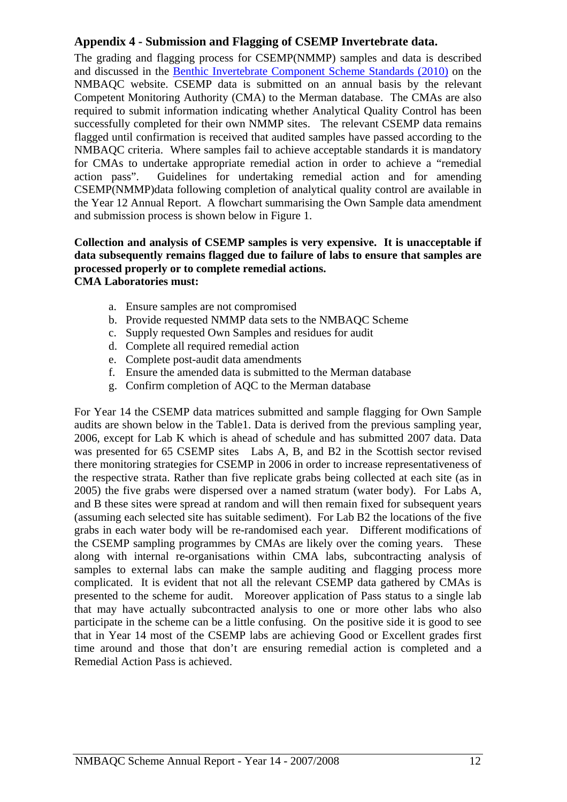# <span id="page-13-0"></span>**Appendix 4 - Submission and Flagging of CSEMP Invertebrate data.**

The grading and flagging process for CSEMP(NMMP) samples and data is described and discussed in the [Benthic Invertebrate Component Scheme Standards \(2010\)](http://www.nmbaqcs.org/scheme-components/invertebrates/reports/benthic-invertebrate-component-scheme-standards.aspx) on the NMBAQC website. CSEMP data is submitted on an annual basis by the relevant Competent Monitoring Authority (CMA) to the Merman database. The CMAs are also required to submit information indicating whether Analytical Quality Control has been successfully completed for their own NMMP sites. The relevant CSEMP data remains flagged until confirmation is received that audited samples have passed according to the NMBAQC criteria. Where samples fail to achieve acceptable standards it is mandatory for CMAs to undertake appropriate remedial action in order to achieve a "remedial action pass". Guidelines for undertaking remedial action and for amending CSEMP(NMMP)data following completion of analytical quality control are available in the Year 12 Annual Report. A flowchart summarising the Own Sample data amendment and submission process is shown below in Figure 1.

#### **Collection and analysis of CSEMP samples is very expensive. It is unacceptable if data subsequently remains flagged due to failure of labs to ensure that samples are processed properly or to complete remedial actions. CMA Laboratories must:**

- a. Ensure samples are not compromised
- b. Provide requested NMMP data sets to the NMBAQC Scheme
- c. Supply requested Own Samples and residues for audit
- d. Complete all required remedial action
- e. Complete post-audit data amendments
- f. Ensure the amended data is submitted to the Merman database
- g. Confirm completion of AQC to the Merman database

For Year 14 the CSEMP data matrices submitted and sample flagging for Own Sample audits are shown below in the Table1. Data is derived from the previous sampling year, 2006, except for Lab K which is ahead of schedule and has submitted 2007 data. Data was presented for 65 CSEMP sites Labs A, B, and B2 in the Scottish sector revised there monitoring strategies for CSEMP in 2006 in order to increase representativeness of the respective strata. Rather than five replicate grabs being collected at each site (as in 2005) the five grabs were dispersed over a named stratum (water body). For Labs A, and B these sites were spread at random and will then remain fixed for subsequent years (assuming each selected site has suitable sediment). For Lab B2 the locations of the five grabs in each water body will be re-randomised each year. Different modifications of the CSEMP sampling programmes by CMAs are likely over the coming years. These along with internal re-organisations within CMA labs, subcontracting analysis of samples to external labs can make the sample auditing and flagging process more complicated. It is evident that not all the relevant CSEMP data gathered by CMAs is presented to the scheme for audit. Moreover application of Pass status to a single lab that may have actually subcontracted analysis to one or more other labs who also participate in the scheme can be a little confusing. On the positive side it is good to see that in Year 14 most of the CSEMP labs are achieving Good or Excellent grades first time around and those that don't are ensuring remedial action is completed and a Remedial Action Pass is achieved.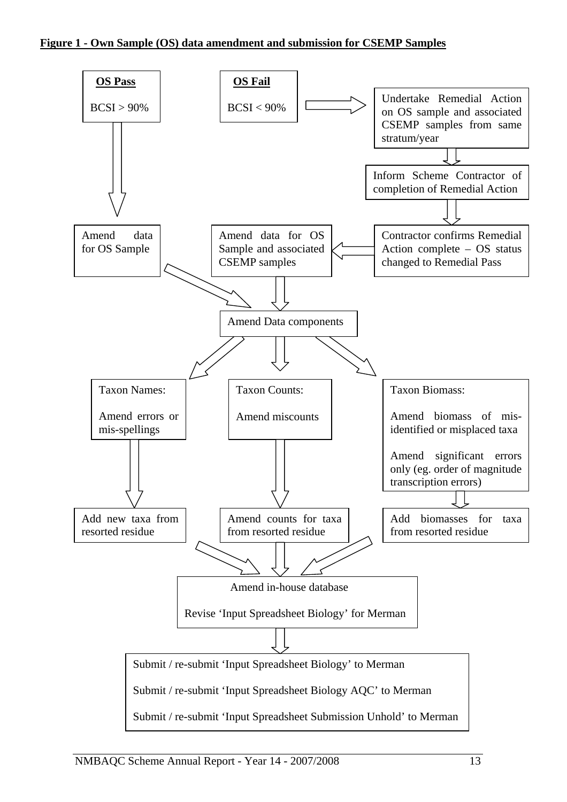#### **Figure 1 - Own Sample (OS) data amendment and submission for CSEMP Samples**

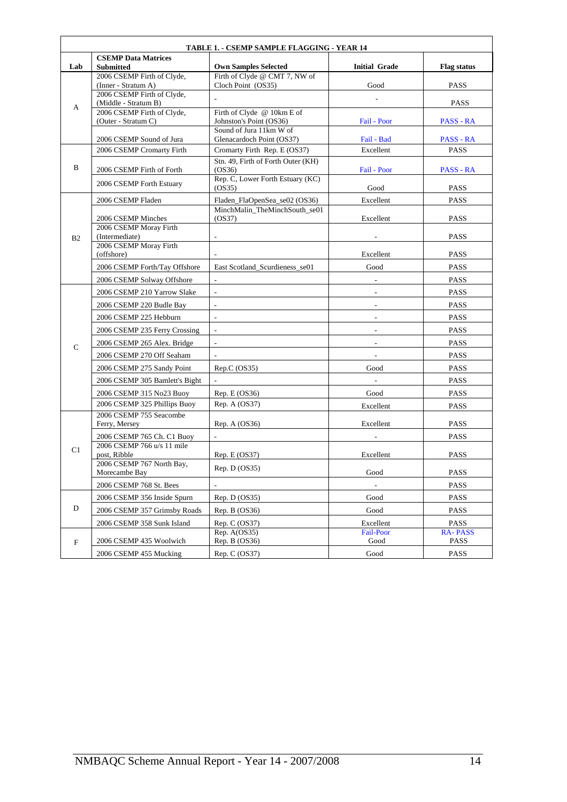| <b>TABLE 1. - CSEMP SAMPLE FLAGGING - YEAR 14</b> |                                                    |                                              |                          |                    |  |
|---------------------------------------------------|----------------------------------------------------|----------------------------------------------|--------------------------|--------------------|--|
| Lab                                               | <b>CSEMP Data Matrices</b><br><b>Submitted</b>     | <b>Own Samples Selected</b>                  | <b>Initial Grade</b>     | <b>Flag status</b> |  |
| A                                                 | 2006 CSEMP Firth of Clyde,                         | Firth of Clyde @ CMT 7, NW of                |                          |                    |  |
|                                                   | (Inner - Stratum A)                                | Cloch Point (OS35)                           | Good                     | PASS               |  |
|                                                   | 2006 CSEMP Firth of Clyde,<br>(Middle - Stratum B) |                                              |                          | <b>PASS</b>        |  |
|                                                   | 2006 CSEMP Firth of Clyde,                         | Firth of Clyde @ 10km E of                   |                          |                    |  |
|                                                   | (Outer - Stratum C)                                | Johnston's Point (OS36)                      | Fail - Poor              | PASS - RA          |  |
|                                                   |                                                    | Sound of Jura 11km W of                      |                          |                    |  |
|                                                   | 2006 CSEMP Sound of Jura                           | Glenacardoch Point (OS37)                    | Fail - Bad               | PASS - RA          |  |
|                                                   | 2006 CSEMP Cromarty Firth                          | Cromarty Firth Rep. E (OS37)                 | Excellent                | <b>PASS</b>        |  |
| B                                                 | 2006 CSEMP Firth of Forth                          | Stn. 49, Firth of Forth Outer (KH)<br>(OS36) | Fail - Poor              | PASS - RA          |  |
|                                                   |                                                    | Rep. C, Lower Forth Estuary (KC)             |                          |                    |  |
|                                                   | 2006 CSEMP Forth Estuary                           | (OS35)                                       | Good                     | <b>PASS</b>        |  |
|                                                   | 2006 CSEMP Fladen                                  | Fladen_FlaOpenSea_se02 (OS36)                | Excellent                | PASS               |  |
|                                                   |                                                    | MinchMalin_TheMinchSouth_se01                |                          |                    |  |
|                                                   | 2006 CSEMP Minches<br>2006 CSEMP Moray Firth       | (OS37)                                       | Excellent                | <b>PASS</b>        |  |
| B <sub>2</sub>                                    | (Intermediate)                                     |                                              |                          | <b>PASS</b>        |  |
|                                                   | 2006 CSEMP Moray Firth                             |                                              |                          |                    |  |
|                                                   | (offshore)                                         |                                              | Excellent                | <b>PASS</b>        |  |
|                                                   | 2006 CSEMP Forth/Tay Offshore                      | East Scotland Scurdieness se01               | Good                     | <b>PASS</b>        |  |
|                                                   | 2006 CSEMP Solway Offshore                         | $\sim$                                       |                          | <b>PASS</b>        |  |
|                                                   | 2006 CSEMP 210 Yarrow Slake                        |                                              |                          | PASS               |  |
|                                                   | 2006 CSEMP 220 Budle Bay                           | $\overline{\phantom{a}}$                     | $\sim$                   | <b>PASS</b>        |  |
|                                                   | 2006 CSEMP 225 Hebburn                             | $\overline{\phantom{a}}$                     |                          | <b>PASS</b>        |  |
|                                                   | 2006 CSEMP 235 Ferry Crossing                      | $\overline{\phantom{a}}$                     | $\overline{\phantom{a}}$ | <b>PASS</b>        |  |
| $\mathsf{C}$                                      | 2006 CSEMP 265 Alex. Bridge                        |                                              |                          | <b>PASS</b>        |  |
|                                                   | 2006 CSEMP 270 Off Seaham                          |                                              | $\overline{\phantom{a}}$ | <b>PASS</b>        |  |
|                                                   | 2006 CSEMP 275 Sandy Point                         | Rep.C (OS35)                                 | Good                     | <b>PASS</b>        |  |
|                                                   | 2006 CSEMP 305 Bamlett's Bight                     | $\overline{\phantom{a}}$                     |                          | <b>PASS</b>        |  |
|                                                   | 2006 CSEMP 315 No23 Buoy                           | Rep. $E (OS36)$                              | Good                     | <b>PASS</b>        |  |
|                                                   | 2006 CSEMP 325 Phillips Buoy                       | Rep. A (OS37)                                | Excellent                | PASS               |  |
|                                                   | 2006 CSEMP 755 Seacombe                            |                                              |                          |                    |  |
|                                                   | Ferry, Mersey                                      | Rep. A $(OS36)$                              | Excellent                | <b>PASS</b>        |  |
|                                                   | 2006 CSEMP 765 Ch. C1 Buoy                         | $\overline{\phantom{a}}$                     |                          | <b>PASS</b>        |  |
| C <sub>1</sub>                                    | 2006 CSEMP 766 u/s 11 mile<br>post, Ribble         | Rep. E (OS37)                                | Excellent                | <b>PASS</b>        |  |
|                                                   | 2006 CSEMP 767 North Bay,                          |                                              |                          |                    |  |
|                                                   | Morecambe Bay                                      | Rep. $D (OS35)$                              | Good                     | <b>PASS</b>        |  |
|                                                   | 2006 CSEMP 768 St. Bees                            |                                              | $\overline{\phantom{a}}$ | <b>PASS</b>        |  |
|                                                   | 2006 CSEMP 356 Inside Spurn                        | Rep. D (OS35)                                | Good                     | PASS               |  |
| $\mathbf D$                                       | 2006 CSEMP 357 Grimsby Roads                       | Rep. $B(OS36)$                               | Good                     | PASS               |  |
|                                                   | 2006 CSEMP 358 Sunk Island                         | Rep. C (OS37)                                | Excellent                | <b>PASS</b>        |  |
|                                                   |                                                    | Rep. $A(OS35)$                               | <b>Fail-Poor</b>         | <b>RA-PASS</b>     |  |
| $_{\rm F}$                                        | 2006 CSEMP 435 Woolwich                            | Rep. B (OS36)                                | Good                     | PASS               |  |
|                                                   | 2006 CSEMP 455 Mucking                             | Rep. C (OS37)                                | Good                     | PASS               |  |